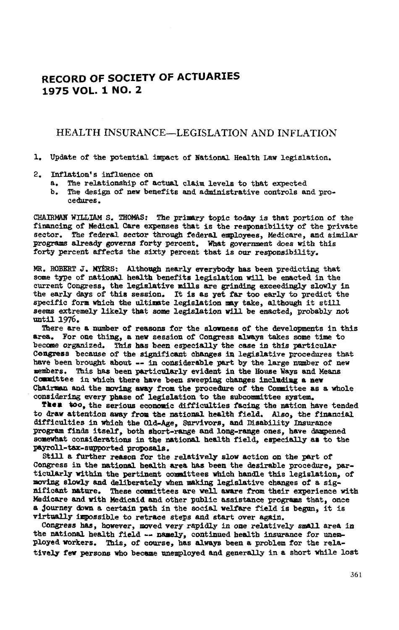# **RECORD OF** S**OCIETY OF ACTUARIE**S **1975 VOL. 1 NO. 2**

#### HEALTH INSURANCE--LEGISLATION AND INFLATION

#### i. Up**da**t**e o**f t**h**e pot**en**tial im**pa**ct of N**a**tion**al** He**a**lth L**a**w **l**egisl**a**tio**n**.

#### **2**. **Infla**t**i**o**n**' s i**n**f**luen**ce o**n**

- **a**. The rel**a**t**i**o**nsh**ip of act**ual** c**l**a**i**m leve**ls** to t**ha**t ex**p**ecte**d**
- b. The **d**esign of **n**ew be**n**efits **and** a\_m\_**n**\_strative co**n**trols **an**d proc**e**\_**J**/r**es**.

**CH**A**I**R**M**AN **WILLI**A**M** S. THO**M**A**S- The** prim**a**ry to**p**ic to**da**y is t**ha**t **po**rtio**n** of t**h**e f**inancin**g of **Medical Ca**r**e** e**xpe**n**ses** t**ha**t **is** t**h**e re**sp**o**n**s**i**b**ili**ty of t**h**e **p**r**iva**te s**ec**tor. Th**e** f**ede**r**al se**ctor t**h**roug**h** feder**al e**m**pl**oy**ees**, **M**e**d**ic**a**r**e**, **an**d s\_m\_lar prog**ra**ms **a**lr**ead**y go**ve**r**n**s fort**y p**e**r**c**en**t. **Wha**t gov**er**n**m**e**n**t d**oe**s w**i**t**h** t**h**is for**t**y per**cen**t **a**f**f**ect**s** th**e** s**i**xty p**e**r**cen**t t**ha**t is o**u**r r**e**s**p**on**s**ib**i**lity.

**MR**. ROBE**RT** J. **M**YE**R**S: A**l**tho**u**gh **nea**r**l**y ev**e**r**ybo**\_ **h**as bee**n p**r**edic**t**in**g that some t**yp**e of **na**ti**onal** health be**n**efits **l**egis**l**ati**o**n wil**l** be e**na**cte**d** i**n** the c**ur**r**en**t Congres**s**, t**h**e **l**egis**la**tiv**e** m**ill**s are gri**n**\_-g exceedi**n**gly slowly in the e**a**r**l**y **d**ay**s** of this se**s**sion. It is **a**s yet far too early t**o** predict the **sp**ecific form w**h**ich the u**l**ti**ma**te legis**la**tio**n** m**a**y t**a**ke, altho**u**gh it sti**ll** s**e**em**s** ext**re**mely **l**ik**el**y t**ha**t s**om**e **le**gi**sla**ti**on w**i**l**l b**e** e**n**a**c**t**ed**, **pr**ob**a**bly **n**ot **un**ti**l** 1**9**76.

There **a**re a **nu**m**be**r of rea**s**o**ns** for the **sl**o**wne**ss of th**e** develo**p**me**n**ts i**n** thi**s** area. F**or** o**ne** thi**n**g, **a new** s**essi**o**n** of C**on**g**res**s alw**ay**s t**a**k**e**s **so**me ti**me** to b**e**c**o**m**e o**rg**an**iz**ed**. This ha**s** b**een es**peci**all**y t**h**e c**ase** in t**h**i**s** l\_**t**rtic**ul**a**r** Ce**n6**r**e**ss b**e**c**au**se **o**f t**h**e sig**n**ific**an**t c**han**g**es in** legi**s**lati**v**e proce**d**ur**e**s t**ha**t h**a**ve bee**n** br**o**ug**h**t **a**b**ou**t -- in co**ns**ider**a**b**l**e **pa**rt by th**e l**arge **nu**mb**e**r of **n**ew m**e**m**b**e**rs**. Th**i**s **ha**s B**e**e**n par**t**ic**u**la**r**l**y **e**v**iden**t i**n** t**h**e **House** Nay**s and** Me**a**n**s** Comm**i**t**tee** i**n which** t**here ha**v**e** b**een sweepin**g c**han**g**e**s l**ncl**m**d**img **a new** Chairm**an and** t**he** m**o**vi**n**g awa**y** from t**he** p**ro**c**edn**r**e of** t**h**e C**o**mmitt**ee a**s **a who**le c**o**ns**i**der**in**g **eve**r**y phase o**f **le**gi**s**latio**n** to t**he** s**u**bcommitt**ee sy**st**e**m.

**Tk**el to**o**, **th**e s**er**io**u**s **ec**o**no**mic **d**iffic**ul**ti**es** faci**n**g t**he na**tio**n h**av**e** t**ended t**o **draw attent**i**on a**way **f**r**o**m t**he n**ati**o**m**al he**a**lth** fi**eld**. **A**ls**o,** t**he** fi**nan**ci**al di**ffic**ul**ti**e**s in **wh**i**ch** th**e Old-***A*g**e, Su**r**v**iv**ors,** a**nd D**i**sa**bi**l**ity **In**s*u*ranc**e** program finds itself, both short-range and long-range ones, have dampened s**o**m**ewh**at co**ns**i**de**rati**o**ns in t**he** nati**onal he**alt**h** fi**eld, e**s**pe**ci**ally em** t**o** t**he** payro**ll-**t**ax-supp**or t**ed pr**o**p**o**sal**s.

Sti**ll a** f*u*rt**he**r r**e**a**son** f**o**r t**he** r**ela**ti**vel***y* **slow a**ct**i**o**n on** t**he** l\_**r**t of Co**n**gr**es**s **i**n t**he na**ti**on**a**l he**a**l**t**h area hem** b**een** t**he desi**r**a**b**l**e **pro**c**edure**, p**a**rtic**ularl**y **w**it**h**i**n** t**he** pe**r**t**in**ent c**o**\_m**a**itt**ees wh**ic**h handle** t**h**i**s le**gi**s**lat**ion**, **o**f m**ovin**g s**low**ly an**d** de**li**b**e**r**a**t**ely** wh**en** m**a**ki**n**g **le**gi**sla**t**ive** c**han**g**es of** a **s**ignificant nature. These committees are well aware from their experience with Medicare and with Medicaid and other public assistance programs that, once **a** \_**o**ur**ney d**ow**n a** c**er**t**a**i**n** pat**h** i**n** t**he** socia**l wel**f**are** fi**eld** i**s** b**e**g*u***n,** it i**s v**irtu**all***y* im**pos**sib**le** t**o retra**c**e s**t**eps and** start **over a**g**a**i**n.**

**Co***n*g**re**ss **has, how***ev***er,** m**oved ver***y* **rap**i**dl**y i**n one** r**ela**tiv**el**y sma**ll** a**r**e**a** i**n** t**he** nati**on**a**l he**a**l**t**h** fi**eld -- na**m**e**ly**,** c**on**tinu**ed he**a**l**th i**ns**ura**n**c**e** f**or une**m**ploye**d **worke**rs. Thi**s, o**f **cou**rs**e, has** alwa**ys been a p**r**o**b**le**m f**o**r t**he** r**ela**ti**vely** f**ew** pe**r**s**ons who bece**m**ae** u**ne**m**ployed** an**d** g**ene**r**all**y **in a** sh**or**t **wh**i**le los**t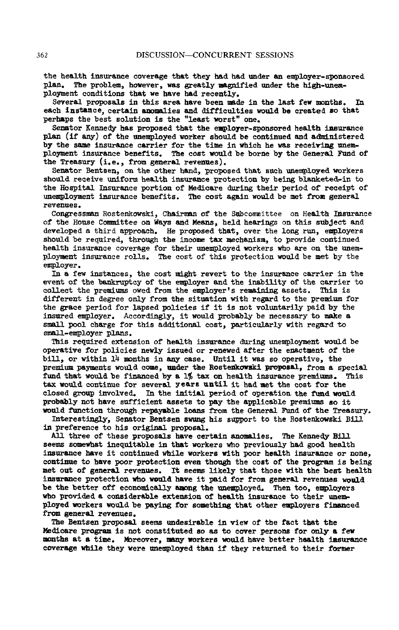the health insurance coverage that they had had under an employer-sponsored plan. The problem, however, was greatly magnified under the high-unempla**n**. T**he** pr**o**b**l**e**m**, **ho**w**e**v**e**r, wa**s g**r**e**at**l**y **magn**ifi**e**d **un**d**er** t**he h**ig**h-**u**nem**pl**oym**e**n**t c**ond**iti**on**s t**h**at w**e** hav**e ha**d r**e**c**e**ntly.

Severa**l** propos**al**s i**n** t**h**i**s a**rea **ha**v**e b**ee**n** m**a**de i**n** t**h**e l**as**t few mo**n**t**h**s. **In each** i**ns**ta**n**ce, c**e**rtai**n** a**n**o**m**ali**e**s **an**d difficulties woul**d b**e cre**a**te**d** so t**ha**t **p**erha**p**s t**h**e be**s**t so**lu**tio**n** i**s** t**h**e "**l**ea**s**t w**o**rst" o**n**e.

Senator Ke**nn**edy ha**s** propose**d** that th**e** e**mp**loyer-**s**po**n**sored healt**h** i**n**s**u**ra**n**c**e p**l**an** (if any) of the un**e**mpl**o**yed w**o**r**ke**r shoul**d** be co**n**ti**nu**e**d** a**nd** admi**n**i**s**ter**ed** by t**h**e sam**e** i**n**sura**n**ce carrier for th**e** ti**me** i**n** w**h**ic**h h**e wa**s** receivi**ng un**emplo**ymen**t i**n**s**u**r**an**ce **b**en**e**fits. T**h**e co**s**t would be bor**n**e by t**h**e **Gene**ral F**und** of **th**e Tre**as**ury (i.**e**., from ge**n**eral rev**en**ues).

**S**enator **Ben**tse**n**, o**n** the ot**h**er h**and**, proposed that such **un**emplo**y**e**d** wor**k**ers s**h**ou**l**d rece**i**v**e** u**n**ifor**m** he**a**lt**h** i**n**sur**anc**e **p**rote**c**t**i**o**n** by be**in**g bla**n**keted**-**in to the **H**o**s**pit**a**l **In**surance portio**n** of Medicare duri**n6** t**h**ei**r** period of receipt of u**n**em**p**lo**y**me**n**t i**ns**u**r**an**ce ben**efit**s**. Th**e** c**os**t ag**a**i**n wo**ul**d be** m**e**t from g**en**e**r**al rev**e**n**ues** •

**C**o**n**gr**es**sm**a**n Rost**e**nko**ws**ki, **C**hairm**an** of th**e S**u**b**committee **on** H**e**alt**h** Insur**an**ce **o**f t**he** Hous**e C**o\_m**lttee** o**n Wa**ys **and** Mea**n**s, **held hea**ri**n**gs **on** t**h**i**s** s**ub**j**ec**t an**d d**ev**eloped a** t**h**i**r**d **a**ppro**a**ch. **He** pro**p**o**se**d t**ha**t, ov**e**r the **l**o**ng** r**un, e**\_p**i**oy**e**rs **sh**ou**ld** b**e** r**e**quir**e**d, t**h**roug**h** t**h**e i**n**c**o**m**8** t**ax** mecha**n**i**s**m**,** t**o** pr**o**vide **c**o**n**ti**nu**e**d** h**eal**t**h** i**nsu**ran**ce c**ov**era**ge for t**h**e**i**r u**nem**p**l**oy**ed w**orkers **who are on** th**e un**e**m**p**l**oyme**n**t i**n**sur**anc**e rolls. The cost of this prote**c**tio**n** woul**d** be met by the employer.

In a few instances, the cost might revert to the insurance carrier in the event of the bankruptcy of the employer and the inability of the carrier to collect the premiums owed from the employer's remaining assets. This is different in degree only from the situ**a**tion wi**t**h re\_rd to the premium for t**h**e gr**a**ce period f**or la**p**s**ed **p**o**l**icies if it i**s no**t **v**o**l**untarily pai**d b**y the insure**d em**ploy**e**r. **A**c**c**or**d**i**n**gly, it woul**d p**rob**a**bly be necessary **t**o m**ak**e **a s**ma**l**l pool c**ha**rge for t**h**is additio**n**al cost**, pa**rticularly with reg**a**r**d** to \_ !-e**m**ployer pla**ns**.

T**h**i**s** req**u**ire**d** e**x**tensio**n** of **he**alth insuran**c**e **d**uring unemplo**ym**e**n**t woul**d** be oper**a**tive for policies **n**ewly i**s**sued or re**n**ewe**d** after t**h**e e**n**actme**n**t of the bill, or wit**h**in 14 mo**n**t**hs** i**n an**y c**as**e. **Un**til it w**a**s **s**o oper**a**tive, t**h**e pre**m**iu**m** pa**ym**e**n**ts woul**d** com**e, und**er t**k**e R**os**t**enk**ows**k**i **p**ro**po**sal\_ from **a** special fund t**ha**t **wo**ul**d** b**e** fi**nan**ce**d** b**y** a **1**% tax o**n** he**al**t**h** ins**u**ra**n**ce premiums. Thi**s** t**a**x **w**oul**d** co**n**ti**n**ue for several **yea**rs unti**l** it **h**ad met t**h**e cost for t**h**e clos**e**d \_ro**u**p i**n**vo**l**ved. I**n** the i**ni**tial p**e**riod **o**f **o**p**e**r**a**tio**n** t**h**e fun**d** w**o**uld pr**ob**a**b**ly **n**ot h**a**ve suffici**en**t **ass**ets t**o** pay t**h**e applic**a**bl**e p**r**e**miu**ms** s**o** it wo**u**l**d** fu**n**cti**on** thr**ou**gh repa**y**a**b**le l**oan**s from t**h**e Ge**n**er**a**l Fu**nd o**f t**h**e Tr**e**a**s**ury.

In**t**eresti**n**gl**y**, Se**n**at**o**r **B**e**n**ts**en** sw**un**g **h**i**s** s**upp**ort t**o** th**e** R**o**ste**n**kowski **B**i**l**l in pr**e**fere**n**ce to **h**is **o**rigi**na**l proposal.

**Al**l t**h**ree **o**f these **p**r**o**posals **ha**ve certai**n an**om**a**lies. T**h**e Kenne**d**y **B**il**l** s**eem**s so**me**w**h**at ine**qu**it**a**ble i**n** t**ha**t workers wh**o** previo**u**sly had go**od h**e**a**lth insurance have it continued while workers with poor health insurance or none, c**ont**i**n**ue to **h**ave **p**o**o**r pr**o**t**e**cti**on e**ven th**ou**g**h** th**e** c**os**t **o**f t**h**e pro**g**r**am** is **b**eing **m**et o**u**t **o**f gen**e**ral reven**ue**s. It se**ems** likely th**a**t t**h**ose wit**h th**e **b**e**st** h**ea**lt**h** ins**u**r**a**nce **p**r**o**tection w**h**o w**ou**ld have it pai**d** for fro**m** ge**ne**ra**l** reve**nues** w**o**uld be t**h**e b**e**tter **o**ff eco**no**mic**a**lly **a**m**on**g t**he un**e**m**ploy**ed**. **T**h**en** to**o**, e\_loyers w**h**o **prov**i**ded** a c**on**si**d**erab**le** ext**ens**i**on** of **heal**t**h** in**s**ur**an**c**e** t**o** t**he**ir u**n**e**m**\_ **plo**y**ed w**ork**ers** w**o**uld b**e** pa**y**i**n**g f**or so**m**e**t**h**ing t**hat** oth**e**r **e**mp**loyer**s fi**nan**ce**d** fr**om** ge**ne**ral rev**enues**.

**The** B**en**tsen **p**r**o**posal **see**m**s** unde**s**irab**le** i**n** view of t**h**e fac**t** t**h**at the Medicar**e** pr**og**ra**m** is **no**t co**n**stit**u**ted so as to c**o**v**e**r p**er**sons f**o**r **only** a f**e**w **mon**t**hs** at **a** tim**e**. M**o**r**e**over**,** m**an**y w**o**r**k**ers woul**d ha**ve **b**ett**e**r **h**ealt**h** i**asu**r**an**ce c**ov**erag**e** w**h**ile t**h**ey w**e**re unem**p**l**o**ye**d** t**h**a**n** if t**h**ey r**e**t**u**r**n**e**d** to th**e**ir f**orm**er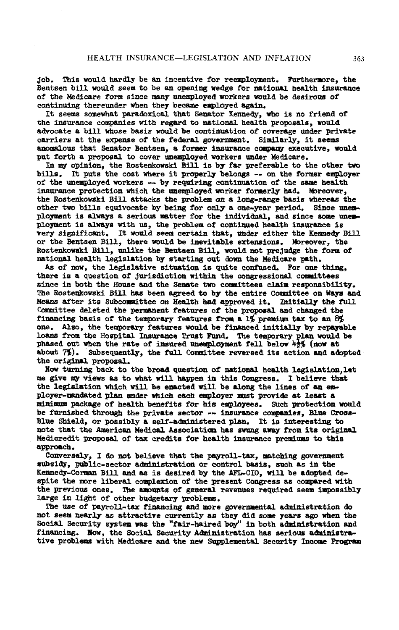job. This would hardly be an incentive for reemployment. Furthermore, the Bentsen bill would seem to be an opening wedge for national health insurance of the Medicare form since many unemployed workers would be desirous of continuing thereunder when they became employed again.

It seems somewhat paradoxical that Senator Kennedy, who is no friend of the insurance companies with regard to national health proposals, would advocate a bill whose basis would be continuation of coverage under private carriers at the expense of the federal government. Similarly, it seems anomalous that Senator Bentsen, a former insurance company executive, would put forth a proposal to cover unemployed workers under Medicare.

In my opinion, the Rostenkowski Bill is by far preferable to the other two bills. It puts the cost where it properly belongs -- on the former employer of the unemployed workers -- by requiring continuation of the same health insurance protection which the unemployed worker formerly had. Moreover, the Rostenkowski Bill attacks the problem on a long-range basis whereas the other two bills equivocate by being for only a one-year period. Since unemployment is always a serious matter for the individual, and since some unemployment is always with us, the problem of continued health insurance is very significant. It would seem certain that, under either the Kennedy Bill or the Bentsen Bill, there would be inevitable extensions. Moreover, the Rostenkowski Bill, unlike the Bentsen Bill, would not prejudge the form of national health legislation by starting out down the Medicare path.

As of now, the legislative situation is quite confused. For one thing, there is a question of jurisdiction within the congressional committees since in both the House and the Senate two committees claim responsibility. The Rostenkowski Bill has been agreed to by the entire Committee on Ways and Means after its Subcommittee on Health had approved it. Initially the full Committee deleted the permanent features of the proposal and changed the financing basis of the temporary features from a 1% premium tax to an 8% one. Also, the temporary features would be financed initially by repayable loans from the Hospital Insurance Trust Fund. The temporary plan would be phased out when the rate of insured unemployment fell below 43% (now at about 7%). Subsequently, the full Committee reversed its action and adopted the original proposal.

Now turning back to the broad question of national health legislation, let me give my views as to what will happen in this Congress. I believe that the legislation which will be enacted will be along the lines of an employer-mandated plan under which each employer must provide at least a minimum package of health benefits for his employees. Such protection would be furnished through the private sector -- insurance companies. Blue Cross-Blue Shield, or possibly a self-administered plan. It is interesting to note that the American Medical Association has swung away from its original Medicredit proposal of tax credits for health insurance premiums to this approach.

Conversely, I do not believe that the payroll-tax, matching government subsidy, public-sector administration or control basis, such as in the Kennedy-Corman Bill and as is desired by the AFL-CIO, will be adopted despite the more liberal complexion of the present Congress as compared with the previous ones. The amounts of general revenues required seem impossibly large in light of other budgetary problems.

The use of payroll-tax financing and more governmental administration do not seem nearly as attractive currently as they did some years ago when the Social Security system was the "fair-haired boy" in both administration and financing. Now, the Social Security Administration has serious administrative problems with Medicare and the new Supplemental Security Income Program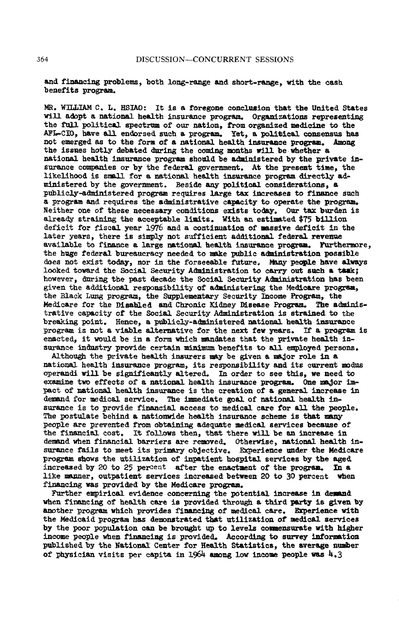**a**n**d** fi**nan**ci**n**g problems, both long-r**a**u@e **and s**ho**r**t-r**ar**\_e, with the ca**s**h **b**e**n**e**f**i**t**s p**r**ogr**a**m.

MR. **W**IL**L**IAM C. **L**. HSIAO: It is **a** forego**n**e co**n**cl**u**sio**n** t**hat th**e **Un**ite**d Sta**tes will a**do**pt a **na**tio**na**l he**a**lth ins**u**r**an**ce prog**ra**m. Org**an**iz**a**tio**n**s re**p**res**en**ti**n**g t**h**e f**u**ll **p**olitical **s**pectr**u**m of our **na**tio**n,** from org**an**ized m**e**dici**n**e t**o** t**h**e A**FL**-CID\_ have **a**ll **end**orse**d** s**u**c**h a** pr**o**g**ra**m. **Ye**t**, a** politic al co**n**se**nsu**s **has** not emerge**d** a**s** to the form **o**f a natio**nal** he**al**t**h** i**ns**urance program. Am**on**g t**h**e i**s**s**u**e**s h**o**tl**y debated **d**uri**n**g t**he** co**mi**ng **m**o**n**t**hs** wi**ll** be **wh**et**h**er **a** natio**nal h**e**alth** i**ns**ur**an**c**e p**rogr**am** s**h**o**cld** b**e ad**mi**n**ister**ed** by **th**e **p**rivste i**ns**ur**a**nc**e** com**p**ani**e**s or by t**h**e f**e**der**a**l governme**n**t**. A**t t**h**e pr**e**se**n**t time**,** t**he** lik**e**lihoo**d i**s sm**a**ll for a natio**na**l h**e**alth i**n**s**u**r**an**c**e p**rogr**a**m dir**e**ctly adm4**e**\_stered by the g**o**ver**n**me**n**t. Beside **a**ny politic**a**l consider**a**tions, **a** p**u**blicly-**ad**ministered **p**r**o**gram req**u**ir**e**s l**a**rg**e** tax i**n**c**r**e**a**se**s** t**o** fi**n**a**n**ce s**u**ch a progr**a**m and requir**es** t**h**e administrativ**e c**al\_city t**o** operate the **p**rogra**m**. Neither o**n**e of t**h**e**s**e **n**ece**s**sary c**on**d**i**tio**ns** e**x**ists to\_y. **Ou**r t**ax bu**rde**n** is **a**lready strai**n**in**g** t**h**e a**c**c**ep**tabl**e l**imits. **W**it**h an e**stl**m**\_ted **\$**75 **b**i**l**lio**n** deficit for fiscal y**ea**r 1976 and a co**n**ti**nua**tio**n** of m**a**ssive d**e**ficit i**n** t**h**e l**a**ter y**e**ars, ther**e** is **s**imply **n**ot **s**ufficient a**dd**ition**a**l f**e**dera**l** reve**nue** avail**a**b**le** to f**inan**ce a large nat**ional heal**t**h ins**u**\_w**\_e pr**o**gr**a**m. **F**urt**he**rmore, the **hu**ge f**e**d**e**r**a**l **bu**rea**u**cr**a**cy **n**eede**d** to mi**k**e pu**b**lic **a**\_I**dn**istrati**on po**ssi**b**le d**o**es **no**t exist t**o**da**y**, nor i**n** the for**s**e**eab**l**e** f**u**tur**e**. **M**s\_y **p**eop**l**e **h**a**ve** alw**a**y**s** looke**d** toward t**h**e Soci**a**l Security A**d**mini**s**tr**a**tio**n** to c**a**rry out **su**c**h a** t**a**sk; however, dmring the p**a**st dec**a**de the Social Security A\_m\_-\_str**a**tio**n** h**a**s b**een** give**n** t**h**e **a**ddit**i**on**a**l responsibility **o**f **a**\_ministerl**n**g t**he** Medicare pr**o**gram, the Bl**a**ck L**un**g progr**a**m, the S**u**pplementary Sec**u**rity Income **P**rogram, the Medic**a**re for the Dis**ab**le**d an**d Chr**o**mic Kidney **D**ise**a**se Program. T**h**e **a**d**m**ini**s**trative c**a**pac**i**ty of the Social Security A**d**mi**n**istr**a**tio**n i**s strai**n**e**d** to the bre**e**ching poi**n**t. Hence, **a** lYa\_**l**icly-a\_m\_**n**istere**d** national **he**alt**h** i**n**s**u**r**a**nce program is not a via**bl**e alterm\_tiv**e** for the **n**ext few years. If a **p**rogram is enacted, it woul**d** be in **a** form which m**anda**t**es** th**a**t the priv**a**te **h**e**al**th i**n**sura**n**ce in**d**ustry provi**d**e certai**n** mi**n**i**m**m**n b**e**n**efits t**o** all **e**mp**l**oyed l\_ers**o**ns.

Althou\_h th**e** priv**a**te **he**alth insurer**s** m**a**y b**e** give**n a** m**s**,or r**o**l**e** i**n** a **na**tion**a**l **h**ealth i**n**s**u**r**an**ce progr**a**m, its re**s**po**ns**ibility an**d** its curr**en**t m**od**us oper**an**di will be significa**n**tly altere**d**. In or**d**er to se**e** thi**s**, we **n**ee**d** t**o** exami**ne** two **e**ffects of **a** natio**na**l health i**ns**u**ran**ce pr**o**gram. **On**e m**e**,or **i**mpact of **na**tio**nal** h**e**alt**h** i**n**sur**an**ce is th**e** creatio**n** of a g**ene**ral i**n**crease i**n** dema**n**d f**o**r me**di**cal s**e**r**vi**c**e**. **T**h**e i**m**me**diat**e g**oal **o**f nati**onal** h**eal**t**h** i**n**surance **i**s to pro**v**i**de** f**inanci**al **acc**e**s**s to **m**edic**al** c**a**re for a**ll** t**he** peo**ple**. The postul**a**te be**h**in**d** a natio**n**wide **h**e**a**lt**h** insur**a**nce sc**he**me is th**at man**y p**e**ople are prevented fro**m** obt**a**ini**n**g adeq**ua**te medical service**s** bec**a**use of the f\_na**n**cial cost. It follows th**en**, th**a**t there will be a**n** incre**a**se i**n** dem**a**nd whe**n** fin**a**ncial barriers are re**m**ov**e**d. Otherwise, **na**tio**na**l he**a**lt**h** in**.** s**u**ranc**e** fai**ls** to me**e**t its primary o**b**jective. Exp**e**rience **und**er the Medicare program shows the utilization of inpatient hospital services by the aged increased by 20 to 25 percent after the enactment of the program. In a increased by 20 to 25 percent after the enactment of the program. like **m**\_z**me**r, outpatient **s**ervice**s** i**n**cre**a**sed betwee**n** 2**0** to **30 p**ercent whe**n** fin**a**ncing w**a**s provided **b**y the **M**edic**a**re **p**rogra**m**.

Further empirical evidence concerning the potential increase in demand when financing of health care is provided through a third party is given by **an**other progr**a**m which provi**d**es fina\_cl**n**g of medical c**a**re. E**x**perie**n**ce wit**h** t**h**e Medicai**d pr**ogram has demonstrate**d** that **u**tilizatio**n** of medica**l** service**s** by the **p**oor popu**l**atio**n** ca**n b**e brought up to **l**eve**l**s oo\_nsurate with higher income **p**eo**p**le **w**he**n** fina**n**cing is **p**rovi**ded**. Accor\_**-**£ to s**u**rvey i**n**formatio**n pu**b**l**ished by the N**a**tio**n**al Ce**n**ter for H**eal**th **S**tatistic**s**, the **a**ver**a**@e **nu**mb**e**r of physician visits per capita in  $1964$  among low income people was  $4.3$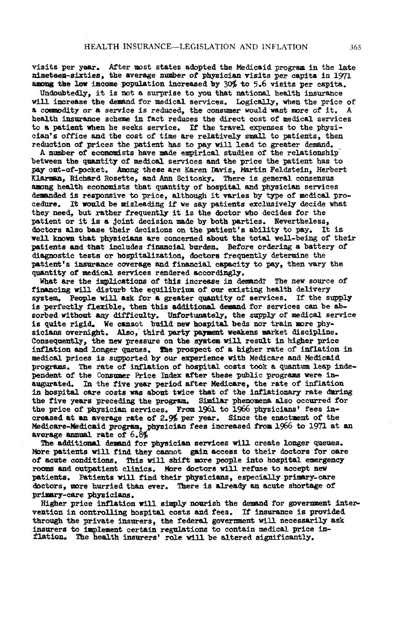visits p**e**r year. After most st**a**tes **ad**opt**ed** the Medic**a**i**d** p**r**ogr**a**m i**n** the l**a**t**e n**i**ne**tee**n**-six**t**i**e**s, th**e** av**e**rag**e** n\_**nbe**r **o**f p**h**ysicia**n** visits per capi**t**a i**n** 1971 am**o**\_ t**h**e l**o**w i**n**c**o**m**e popu**lati**on** i**n**cr**eased** by 30\_ t**o** 5.6 **v**isits per capita.

**Und**o**u**bt**ed**ly**,** it is **no**t **a** s**ur**p**r**is**e** t**o you** t**ha**t **n**ati**on**al **he**alt**h** i**n**s**u**ra**n**c**e** will i**n**c**rea**s**e** th**e** d**e**m**and** f**o**r **m**edical **se**rvic**e**s. **Lo**gic**a**lly**,** w**hen** t**he** price **o**f **a** c**o**\_**m**odity or a **se**r**v**ice i**s** r**edu**ced**,** t**h**e c**onsume**r would wa**n**t more of it. **A h**ealt**h** i**n**s**u**r**an**ce sc**h**eme in fact re**du**ces t**h**e dir**ec**t co**s**t of medical s**e**rvices to a pati**en**t whe**n h**e seeks service. If t**h**e trav**e**l expe**n**s**es** to t**he p**hysicist's office **and** t**h**e co**s**t of time are relativel**y** small to patie**n**ts**,** t**he**n r**ed**uctio**n** of prices the patie**n**t has to pay will le**ad** to gr**ea**ter **d**e**m**a**nd**.

**A n**umb**e**r **o**f **e**c**on**omi**s**ts **h**ave \_**d**e **e**mpirical st**u**di**e**s of t**he** relati**on**ship**"** b**e**twe**en** the q**u**a**n**tity of medical s**e**rvices a**nd** t**he p**rice t**he** l\_ti**en**t h**a**s to **p**ay oat-**o**f-**po**c**k**et. Am**on**g t**h**es**e** are Kar**en** D**a**vis**,** Marti**n** F**e**ldstei**n**, Herbert Kl**a**rm**sn**, Ric**h**ar**d** Rosette, an**d** A**nn** Scitos**ky**° T**he**r**e** i**s** ge**n**er**a**l consensus amo**n**g health **e**co**no**mist**s** that qua**n**tity of **h**os**p**ital **and** ph**y**sician s**e**rvice**s de**m**anded** i**s** r**e**spo**n**sive to price**,** alth**ou**g**h** it v\_ries by type **o**f medical proc**e**d\_r**e**. **I**t w**ou**l**d be** mislea**d**i**n**g if we **s**ay p**a**ti**en**ts **e**xc**l**usi**v**ely **d**eci**d**e what t**h**ey **need,** b**u**t rat**he**r fr**equen**tly it is t**he** doct**o**r wh**o** deci**des** f**o**r th**e** patie**n**t or it i**s** a \_oi**n**t **d**ecisio**n** m**ad**e **b**y b**oth** par**t**i**e**s. **Ne**v**e**rt**h**eless, **do**ct**o**rs al**s**0 **b**as**e** their **de**ci**s**io**n**s o**n** t**he p**atie**n**t'**s a**bility to pay. It is well **kn**ow**n** t**h**at p**h**y**s**ici**an**s are co**n**cer**n**e**d** about t**h**e t**o**t**a**l well**-**being of t**h**eir patient**s** and t**h**at i**n**cl**ude**s fi**n**a**n**cial **bu**r**d**e**n**. **B**efor**e** orderi**n**g a batter**y** of **d**i**a**g**no**stic tests or **ho**s**p**it**a**liz**a**ti**on**, **do**ctors fr**e**que**n**tly **de**t**e**rmi**n**e the patie**n**t's in**s**urance coverag**e** an**d** fi**n**a**nc**ial c**apa**city to pay**,** t**hen** v**a**ry t**he** qua**n**tity **o**f me**d**ical **se**rvices ren**d**ere**d** acc**o**rdi**n**gly.

W**ha**t are t**h**e implicati**o**ns **o**f t**h**is i**n**cr**e**ase i**n d**em**and**? The **n**ew s**o**urce **o**f fixm**n**ci**n**g will dist**u**r**b** t**h**e **e**q**u**ili**b**ri**u**m **o**f **ou**r existi**n**g **he**alt**h** deli**v**er**y** s**y**st**e**m. Pe**op**le will **ask** f**o**r a gr**ea**ter q**uan**tit**y** of servic**e**s. If t**h**e s\_**p**pl**y** is perfectl**y** flexible**,** the**n** t**h**is a**dd**iti**on**al **de**ms\_**d** for s**e**r**v**ic**es** ca**n** b**e ab**s**o**rbe**d** wit**hout** az\_V **d**ii\_fic**u**lty. **U**nf**o**rt**u**na**t**ely**,** t**h**e \_**upp**ly of medical **se**rvice is **qu**ite rigi**d**. We c**a**m**a**ot b**u**il**d ne**w **ho**spital **bed**s **n**or tr**a**i**n** mor**e p**hysicia**n**s over**n**ig**h**t. Als**o**," t**h**ir**d pa**rt**y** pa\_m**elr**\_ w**e**a**ke**ns m\_r**ke**t disci**pl**i**n**e. **C**o**n**sequ**en**tly, t**he n**ew **p**r**es**s**u**re o**n** t**h**e **sy**st**e**m will re**su**lt in hig**he**r price i**n**fl**a**ti**on** an**d** long**e**r **que**ue**s**, t**h**e pr**o**s**p**ect of a **h**igher rate of i**n**flatio**n** i**n** medical **p**rice**s** is s**u**p**po**rt**ed** hy **o**ur e**x**l\_rie**n**c**e** wit**h Med**icar**e** an**d** Medicai**d p**rog**ra**ms. **Th**e r**a**te of i**n**fl**a**ti**on** of hos**p**ital cost**s** t**ook a** qua**n**t**um** le**a**p i**n**depe**n**de**n**t **o**f the **C**o**n**s**um**er Price I**nd**ex **a**fter t**h**es**e** p**u**b**l**ic **p**rogra**ms** w**e**r**e** i**nau**@ur**a**te**d**. I**n** t**h**e fi**v**e y**e**ar peri**od** aft**e**r M**e**dicar**e**, t**h**e r**a**te of i**n**flatio**n** i**n ho**spital c**a**re c**ost**s was a**b**o**u**t twice that **o**f the i**n**flati**on**ary r**a**t**e d**ari**n**g t**he** fiv**e** y**e**ar**s** prec**e**ding t**he** pr**o**g**r**am. **S**\_m**4**1ar p**h**enome**n**a also occ**u**rre**d** f**o**r t**h**e **p**rice **o**f p**hys**ician s**e**rvices. **F**r**o**m 1961 t**o** 1966 p**h**ysici**an**s' f**e**es increas**ed a**t **an** av**e**re\_**e** rat**e** of **2**.\_ **p**er y**e**ar. **S**i**n**c**e** t**he e**nactment **o**f t**he** Medicare-Me**d**l**c**ai**d** program**, phy**sici**an** fee**s** i**n**cr**e**ase**d** from **1**966 to 1**9**71 **a**t a**n ave**rage a**nnw**\_l r**at**e of 6.**8**\_

The a**dd**itio**na**l **de**m**and** f**o**r **ph**ysician services will cr**ea**te l**on**ger q**u**eues. More patie**n**ts will **f**i**nd th**ey c**ann**ot g\_in acc**e**ss to th**e**ir d**o**c**t**ors f**o**r care **o**f **a**\_ute c**ond**i**t**i**o**ns. T**h**is will shif**t** mor**e** peopl**e** int**o hosp**i**t**al eme*r***g**e**n**c**y** ro**oms** an**d outl**\_ti**en**t **c**li**n**ics. More doct**o**rs will ref**u**s**e** to **a**cc**e**pt **n**ew patients. Patients will fin**d the**ir **phy**sicia**ns, e**speci**a**lly **p**rim**a**ry-care doctors**,** more hurrie**d** tha**n** ev**e**r. There is **a**lre**ad**y an ac**u**te s**ho**rtage **o**f prim**a**r**y**-care **phy**Eicia**ns**.

Hig**h**er price i**n**flatio**n** will sim**p**ly **no**urish t**h**e **de**ma**nd** for g**o**vernm**en**t i**n**t**er**ve**n**tio**n** i**n** co**n**trolli**n**\_ **h**ospital costs a**nd** fe**e**s. If i**n**s**u**ra**n**c**e** is **p**r**o**vi**d**e**d** t**h**roug**h** t**he p**rivate ins**u**r**e**rs, t**he** f**e**deral g**o**v**e**rnment will **n**ecessarily **a**s**k** i**n**sur**e**rs to impleme**n**t certai**n** reg**u**latio**n**\_ to c**on**tai**n** medical **p**ric**e** i**n**flatio**n**° **Th**e **h**ealt**h** insur**e**rs' r**o**le will **b**e alter**ed** sig**n**ificantly.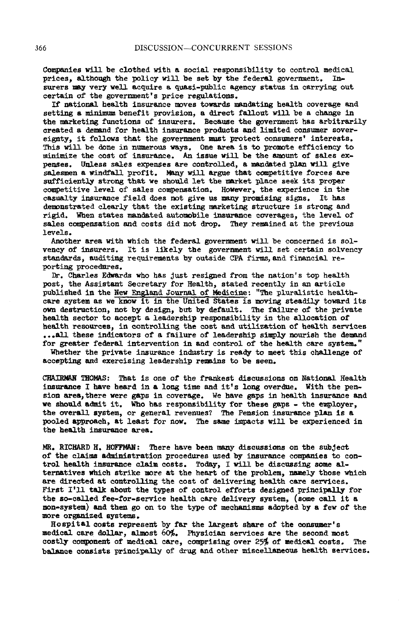Compani**e**s will **b**e c**l**ot**hed** with a social r**e**sponsibility to co**n**trol m**e**dical **p**ric**es**, a**l**tho**u**gh t**he p**o**l**icy **w**il**l he se**t by the f**ede**r**al** go**ver**ma**en**t. I**ns**urers **ma**y **v**ery **we**l**l** a**cq**u**i**r**e** a **q**u\_si-pub**lic** a**6enc**y status i**n c**arryi**n**g out cert**a**i**n** of t**h**e go**v**er**n**me**n**t's pri**c**e r**e**gul**a**tio**n**s.

If national **he**alt**h** insuranc**e** mov**es** towards m**an**d**a**ti**n**g **he**alt**h** co**ve**rag**e** and **s**etting **a** minimum benefit provisio**n**, **a** dir**e**ct fallo**u**t will be **a** change in t**he** m**a**rketi**n**g fu**n**ctio**n**s **o**f i**ns**ur**e**rs. **Be**c**a**us**e** t**he** @**o**v**e**rmm**en**t **ha**s **arb**itr**a**rily cr**ea**ted a dem**and** for healt**h** i**n**sura**n**c**e** prod**u**ct**s** a**nd** limited consumer **s**overeig**n**ty, it fol**l**ow**s** that t**h**e governme**n**t must **p**rotect consu**m**er**s**' i**n**terests. This will be done in numerous ways. One area is to promote efficiency to minimize the cost of insurance. An issue will be the amount of sales expe**nses**. **Un**les**s sa**le**s** expe**ns**e**s** ar**e** co**n**trolled, a m**an**dated pl**an** will give sales**m**e**n** a wi**n**df**a**ll profit. M**any** will **a**rgue t**h**at com**p**etitive force**s** a**r**e s**u**fficie**n**tly strong t**ha**t we should let t**h**e m**a**rket place seek its proper com**p**etitive level of sales compe**nsa**tio**n**. However, th**e** ex**p**erie**n**ce i**n** t**he** casualty insurance field does not give us many promising signs. **d**emo**n**str**a**ted clearly t**ha**t t**h**e exi**s**ting m**a**rketi**n**g **s**tr**u**cture is **s**tro**n**g a**n**d rigi**d**. **W**he**n** st**a**tes **m**\_**nd**\_ted **a**ut**omo**bi**l**e i**n**s**u**r**a**nce c**o**verages, t**h**e **le**ve**l** of sales compensatio**n and** cost**s** did **no**t drop. They remained at the pr**ev**i**o**us lev**e**ls.

A**n**other **a**r**ea** with whic**h** the federal goverm**n**e**n**t will be concer**n**ed i**s** s**o**lv**en**cy of i**ns**urers. It i**s** likely the gov**e**r**n**me**n**t will set certain **so**lvency sta**n**d**a**rds, **a**uditi**ng** req**u**ir**emen**t**s** by outsid**e** CPA firms,a**n**d f**in**a**n**cia**l** reporti**n**g proced**u**re**s**.

**D**r. Charles E**d**w**a**rd**s** wh**o** h**a**s J**us**t resig**n**ed from the **na**ti**o**n'**s** top health **pos**t, the A**s**si**s**t**an**t Secretary f**o**r He**a**lth, state**d** recently in a**n** article publishe**d** i**n** the New E**ngland Journal of Med**ici**ne**: "Th**e** plur**al**i**s**tic he**al**thcare **s**ystem **a**s we k**no**w it i**n** the United **S**tate**s** is moving ste**a**dil**y** tow**a**rd its o**wn** destr**u**ction, net **b**y **des**ign, but by d**e**f**a**u**l**t. The f**a**ilure of the priv**a**te **h**ealth sector to **a**cc**e**pt **a** le**a**dershi**p** r**e**sponsibility in th**e a**lloc**a**tion of **h**e**al**t**h** resources, i**n** co**n**tro**llin**g t**h**e cost **an**d **u**t**il**iz**a**tio**n** of **h**e**al**th s**e**rvic**e**s ...**a**ll t**h**e**se** i**n**di**ca**tors of **a** fai**l**ure o**f l**eaders**h**ip simply **n**ouris**h** t**h**e **d**em**a**nd f**o**r great**e**r federal i**n**t**e**rve**n**ti**on** in a**n**d **c**o**n**trol of t**h**e **h**ealt**h** care system."

Whether t**h**e **p**rivate i**n**sura**n**ce i**n**dustry is ready to meet this chall**en**ge of **a**ccepti**n**g and exercisi**n**g le**ad**ership rem**a**i**ns** to **b**e see**n**.

CHAIR**M**AN T**H**O**M**AS: Th**a**t is one of the frank**es**t di**s**cu**s**si**o**ns o**n** N**a**tio**n**a**l H**ealt**h** insura**n**ce I have hea**r**d i**n** a long time and it's **l**ong over@me. **W**it**h** t**h**e pe**ns**io**n** are**a**,t**h**ere were g**a**ps i**n** coverage. We **h**ave gaps in **h**ealt**h** ins**u**ra**n**ce a**n**d w**e should** a**d**mit it. **Who h**as re**s**ponsi**b**i**l**ity f**o**r t**he**s**e** g**a**p**s** - t**h**e **e**n**rploye**r, th**e ov**er**a**ll system, or g**en**eral r**e**ve**n**ue**s**? Th**e** Pe**ns**io**n** i**nsu**r**an**ce pl**an** is a **p**oo**l**ed **a**pproa**c**h, at l**eas**t for **n**ow. Th**e** s**a**m**e** impacts will **be** ex**p**eri**en**c**ed** i**n** the h**e**alth insur**an**ce area.

MR. RICHARD H. HO**F**F**M**AN: There h**a**ve b**een** m**an**y discussi**o**n**s** o**n** t**he s**u**b**j**e**ct **o**f the cl**a**im**s a**\_m\_**n**\_,tr**a**tion **p**rocedur**e**s **u**se**d** by insurance compa**n**i**e**s to c**on**trol **he**a**l**th i**nsu**r**an**c**e** c**la**im c**os**t**s**. T**o**day, I will **b**e disc**u**s**s**ing **s**ome alt**e**r**na**tives **w**hic**h** strike m**o**re at the h**e**a**r**t of the pr**o**blem, **n**amely th**ose w**hich **a**re di**re**cte**d a**t c**on**trol**l**\_ng t**h**e cost of **d**e**l**ivering **h**e**a**lth care **se**rvic**es**. First I'Ii ta**l**k **a**bout t**h**e ty**p**es of co**n**trol eff**o**rts desig**n**ed pri**n**cip**all**y for the so-ca**l**led fee-for-service health care delivery **s**ystem, (some call it a **n**o**n-**system) a**nd** the**n** go on to the type of mechanisms ado**p**te**d** by a few of the mo**r**e orgamiz**e**d systems.

Hospital costs re**p**r**e**se**n**t by far the largest share of the cous**u**m**e**r's medical care dollar, **a**1-\_st 60%. Physician services are the second most costly compo**n**ent of medical care, comp**r**i**s**i**n**g ov**e**r 25\_ of medical co**s**ts**.** The bala**n**ce consists pri**n**cipally of dru\_ and other miscella**n**eous health services.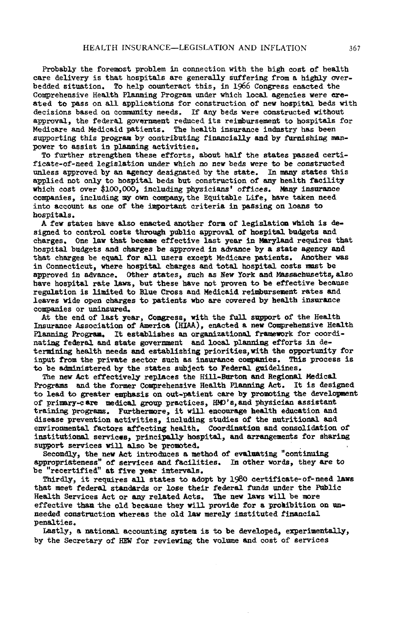Probably the f**o**remost problem i**n** co**nn**ecti**o**n with the high c**o**st of health c**a**re d**e**livery is th**a**t hospitals **a**re g**en**erally Suffering f**ro**m **a** highly over**b**edded sit**ua**ti**on**. T**o** help c**o**unter**a**ct this, in 1966 C**o**ngress enacted the C**o**mprehe**n**sive Health P**lann**i**n**g Pr**o**gr**a**m **unde**r which l**o**cal **a**gencies were ereated t**o** pass **on** all **a**pplic**a**ti**o**ns for c**o**nstructi**on o**f **ne**w h**o**spital beds with decisi**o**ns b**a**sed **o**n eommuulty **n**eeds. If any beds wer**e** c**o**nstr**u**cte**d** with**ou**t **a**pproval, the federal governme**n**t r**edu**ced its reimburs**e**me**n**t t**o** h**o**spitals f**o**r Medic**a**re and Medic**a**i**d** patie**n**ts. The h**e**alth i**n**surance i**ndu**stry h**a**s **b**een supp**or**ting this p**ro**g**r**am b**y** c**o**ntributing fi**nan**cially **and b**y fur**n**ishi**n**g ma**n**power to assist in planning activities.

T**o** further str**e**ngthe**n** th**e**s**e** eff**o**rts, **a**bo**u**t half the **s**t**a**tes passed certific**a**te-**o**f-seed legisl**a**ti**on** u**n**der whi**c**h no **n**ew beds were t**o** he c**on**str**u**cte**d** unless **a**pproved by an age**n**cy **d**esig**na**te**d** by the st**a**te. In m**an**y st**a**tes this **a**ppli**e**d not **o**nly to h**os**pital **b**eds **bu**t c**o**nstr**u**cti**o**n **o**f any he**a**lth f**a**cility which c**o**st ove**r** \$100,000, incl**u**ding physi**c**i**an**s' **o**ffice**s**. **Man**y insurance c**o**mpanie**s**, incl**ud**i**n**g my **o**wn c**o**mp**an**y, the Equitable Life, h**a**v**e** taken **n**e**ed** int**o a**cc**o**unt as **one o**f the important criteri**a** i**n pa**ssi**n**g **on** lo**an**s to h**o**spitals.

A few st**a**tes h**a**ve als**o ena**ct**ed an**ot**h**er f**o**rm of legislatioa which is **de.** signed t**o** c**on**trol c**o**sts through public **a**ppr**o**val of **ho**s**p**ital b**u**dg**e**ts and charges. O**n**e law th**a**t **b**ecam**e** effective l**a**st ye**a**r i**n** \_ylamd requires that h**o**spit**al bu**dg**e**t**s and** c**ha**rg**es** b**e a**ppr**ove**d i**n ad**va**n**c**e** by **a s**t**at**e **a**g**e**ncy **an**d t**h**at c**h**arges b**e** eq**ua**l f**o**r a**l**l **u**sers exc**e**pt **M**edicar**e pa**ti**en**ts. A**n**ot**h**er was i**n** Co**nne**ctic**u**t, where hospita**l** charges **and** t**o**tal **h**os**p**ital **c**osts m**u**st **b**e **app**roved in **ad**vanc**e**. **O**th**e**r **s**t**a**te**s**, suc**h** as **N**ew York a**nd Mas**s**a**c**h**usetts, a**ls**o **ha**ve **h**os**p**ital r**a**te **l**aws, b**u**t t**he**s**e** h**a**ve \_ot **p**rove**n** to b**e** eff**e**ctive becaus**e** r**e**g**u**lati**on** i**s l**imite**d** to **Blue C**ro**s**s **and M**e**d**ic**a**id reimburs**e**me**n**t r**a**tes an**d** le**aves** wide open charge**s** to patients w**h**o are covere**d** by **hea**lt**h** i**n**surance companies or uninsured.

At the end of last year, Congress, with the full support of the Health Insurance As**s**oci**a**tio**n o**f America (HIAA), enact**ed a** n**e**w **C**ompr**eh**ensiv**e** Health Planning Program, It establishes an organizational framework for coordin**a**timg fe**d**eral an**d s**t**a**t**e** gov**e**rnme**n**t **and** loc**a**l planning **e**fforts i**n de**t**e**rmiuing **he**alth **nee**ds **and** est**a**blishiug priorities, with th**e o**Fportu**n**ity for i**npu**t from the priv**a**te **se**ctor s**u**ch **as** i**n**s**u**ra**n**ce com\_L**u**ies. T**h**is **p**rOce**s**s is to be **a**d**m**i**n**istere**d** by t**h**e st**at**es subj**e**ct to **Fe**deral g**u**ideli**ne**s.

The **n**ew Act effective**l**y replace**s** t**h**e Hill-**Bu**rto**n** a**n**d Regio**n**al **M**edical Program**s** a**n**d the former Co\_rehensive Healt**h** Pla**nn**i**n**g Act. It is designe**d** to le**ad** to gre**a**ter emp**h**asis o**n** o**u**t-patie**n**t care by **p**romoting the develo**p**me**n**t of prim**a**ry-care medic**a**l gro**up** practices, H**M**0's, a**n**d physician a**s**sista**n**t trai**n**i**n**g program**s**. Furt**h**ermore, i**%** will **en**co**u**rage **h**ealt**h** ed**u**catio**n** a**n**d di**s**ease **p**reve**n**tio**n** activities, i**n**cl**ud**i**n**g studies of t**h**e **nu**tritioms**l** an**d** e**n**viro**n**me**n**tal factor**s a**ffecti**n**g health. Coordi**n**ati**on an**d co**n**solidatio**n** of i**n**stitutio**n**a**l** services, pri**n**ci**pa**lly hospital, **an**d arr**an**geme**n**ts for **s**hari**n**g **s**u**pp**ort services will **a**lso be **p**romote**d**.

Seco**n**dly, t**he n**ew **A**ct i**n**trod**u**ces a met**h**o**d** of ev**a**lu**a**ting "co**n**ti**n**ui**n**g **a**ppropriate**n**es**s**" of s**e**rvices **and** faci**l**ities. **In** ot**h**er word**s**, they are to be "recertified" at five ye**a**r interv**als**.

Thirdly, it re**q**uires **a**l**l s**t**a**tes to **a**dopt by **1**980 certific**a**te**-**of**-n**ee**d** laws t**ha**t meet federa**l** st**an**dards or lose their federal fu**n**d**s** u**n**der the P**u**blic Health **S**ervices Act or **a**my relate**d** Acts. T**h**e **n**ew laws will be more effective t**h**a**n** the old bec**au**se they will provide for a **p**rohi**b**itio**n** o**n unn**eeded constr**u**ctio**n** wherea**s** the old law merely i**n**stituted fi**nan**ci**a**l pe**n**alties.

L**as**tl**y**, a **na**tio**n**al accou**n**ting system is to be develope**d,** ex**p**erime**n**t**a**lly, by the Secret**a**ry of HEW for reviewi**n**\_ the volu**m**e **an**d cost of service**s**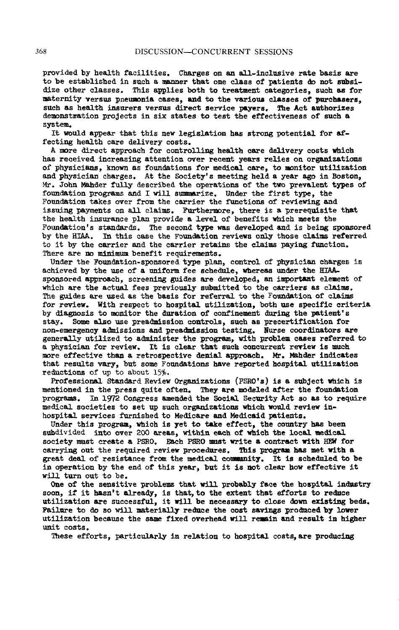provide**d** by **h**ealth faciliti**e**s. C**ha**rge**s** on **an** a**l**l-incl**u**sive r**a**te b**a**sis a**re** to **b**e established in s**u**ch a m**anne**r t**h**at **on**e class **o**f p**a**ti**en**ts **d**o **n**ot s**ub**si**d**ize ot**h**er c**las**ses**. T**his **appl**i**e**s both to tre**a**tme**n**t c**a**tego**r**ie**s**, **su**c**h as** fo**r** m**a**t**e**r**n**ity ve**rsus p**ne**umon**i**a c**a**ses**, an**d** to t**he va**r**iou**s c**l**a**s**ses of **p**urc**h**asers, **such** as **h**e**al**th **i**m**s**urer**s v**er**s**u**s** d/r**e**e**f** service payers. **T**h**e** A**c**t ant**h**ori**z**e**s d**e**mon**str**a**tio**n** project**s** i**n** s**ix sta**te**s** to test t**h**e e**f**fec**t**ive**n**e**s**s of **su**c**h** a syste**m**.

It would appear t**h**at this **n**ew legislati**o**n has stro**n**g potential for **a**ff**e**cting **h**e**a**lt**h** care **de**li**v**ery **co**sts.

A more direct approach for controlling health care delivery costs which h**a**s received i**n**cre**a**si**n**g atte**n**tio**n** ove**r** rece**n**t years relies o**n** org**an**izatio**n**s of p**h**ysici**ans, kn**ow**n a**s fou**nd**ations for medic**a**l care, to mo**n**itor utili**za**tio**n** a**n**d physici**an** c**h**arges. At the **S**ociety's meeti**n**g **h**e**ld** a ye**a**r ago i**n** Bosto**n**, Mr. Joh**n** MA**hd**er fully **d**escribed t**h**e operati**on**s of the two **p**r**e**vale**n**t ty**pe**s of fou**n**datio**n** program\_ an**d** I will summ**a**rize. **Und**er t**h**e first type, t**h**e Found**a**tio**n** takes over from the carrier the functio**ns** of reviewi**n**g a**n**d i**ssu**i**n**g paym**en**t**s** o**n** all clai**m**s. F**u**rther**m**ore, t**h**ere is a pr**e**req**u**i**s**ite that t**h**e **h**e**a**lth insurance pl**an** provi**de a** l**ev**el of be**n**efits **wh**ich me**e**t**s** the Foun**da**tio**n**'s st**and**a**r**d**s**. The **se**co**n**d t**y**p**e** was **d**eve**lo**ped a**nd** is being spo**ns**ored by the HIA**A**. I**n** t**h**is c**a**se the Fou**n**d**a**tio**n** r**e**views o**n**l**y** tho**s**e clai**m**s ref**e**rred to it by t**h**e carrier a**n**d t**h**e carrier retai**n**s the **c**l**a**ims payi**n**g fu**n**ctio**n**. T**h**ere **a**re n**o m**i**n**imu**m** be**n**efit requireme**n**ts.

U**nd**er t**h**e Foun**da**ti**o**n-sponsored ty**p**e **pl**an, **c**o**n**tro**l** of'physici**an** ch**a**rges is **a**chie**v**e**d b**y t**he u**se of **a** u**n**ifor**m** f**e**e sc**hed**u**l**e**, wh**er**e**as **und**er t**he H**YA**Asp**o**n**sore**d** appro**ach**, s**c**re**enin**g g**u**ide**s** ar**e d**eve**l**ope**d**, **an i**m**p**orta**m**t e**lem**e**n**t of whi**ch** are t**h**e act**u**al fees previ**ous**ly **sub**mitte**d** to t**h**e c**a**rrier**s a**s cl**a**ims. The gui**d**es are used as t**h**e **ba**sis for referral to t**h**e Fo**un**dation **o**f clai**m**s for review. With re**sp**ect to **h**os**p**ital utilizatio**n**, bot**h** use **sp**ecific criteri**a** by di**a**g**n**osis to mo**n**it**o**r the **d**ur**a**tio**n** of co**n**fi**n**ement **du**ring t**he pa**tie**n**t's stay. Some a**l**so use \_read**m**issio**n** co**n**trols**,** such as precertificatio**n** for no**n**-em**e**rge**n**cy ad**m**is**s**io**n**s a**n**d **p**rea\_ais**s**io**n** testi**n**g. **N**ur**s**e co**o**r**d**i**na**tors are ge**n**e**r**a**d\_**ly **ut**ilized t**o** a\_,\_-\_ ster the **pr**ogr**am**, wi**th** pr**obl**e**m case**s referre**d** t**o a** physicia**n** f**o**r review. **I**t is cl**ear** t**ha**t suc**h** c**on**c**u**r**ren**t r**e**view is **mu**c**h** m**o**re eff**e**ctive than **a** retros**p**ective **de**nial approach. **M**r. **Mahde**r i**n**di**ca**tes th**a**t resu**l**ts va**r**y, b**u**t **som**e F**o**u**ndat**io**ns ha**ve r**epo**rted ho**sp**ital **u**tilizati**on** r**ed**uctio**n**s of up to **ab**out 1**5**\_.

Profes**s**io**na**l **S**tand**a**rd Review Org**an**iz**a**ti**ons** (PSR**O**'**s**) is **a su**bjec**t** whic**h** is m*e***nt**io**ned** in **t**h**e pr**es**s** q**u**it**e o**ft**en**. **The**y **ar**e m**odel**ed **a**ft**e**r t**he** f**oun**datio**n** pr**o**grams. In **19**72 **Con**gress **a**m**en**de**d** t**he** Soci**al** S**e**curity **A**c**t** so **as** t**o re**q**ui**r**e** medical societies to set up such organizations which would review inhospita**l s**ervi**ce**s **fu**rni**sh**e**d** to **M**edi**ca**r**e and M**edic**a**i**d pa**t**ie**nts.

U**n**de**r** t**h**i**s** progra**a,** W**h**ic**h** i**s ye**t t**o** tak**e** effect, t**he** c**o**u**n**t**r**y **h**a\_ bee**n** su**b**divided into o**ve**r **200** areas**,** wit**h**i**n** e**a**c**h** o**f** w**h**ic**h** t**he** loc**al** medi**cal s**ociety m**u**st cr**e**ate a PSR**O**. Eac**h** P**S**RO **m**u**s**t **w**rit**e** a **con**tr**a**c**t** wit**h** HE**W** for carryi**n**g o**u**t th**e** required review proc**edu**res. This **p**r**o**gram **has m**et wit**h a** gre**a**t **d**eal of re**si**st**a**nce fr**o**m t**he** medical comm**nn**i**ty**. **I**t is sc**h**e**dnl**e\_ to **b**e i**n** o**pe**r**a**tion **b**y t**he end** of thi**s** yea**r**, **hut** it i**s** not c**l**ear **h**ow effec**t**i**v**e i**t** wil**l** turn o**u**t t**o** be.

O**n**e of t**h**e se**ns**itive **p**ro**bl**e**m**s t**ha**t will pr**ob**a**b**ly f**a**c**e** t**h**e **h**os**p**ital i**nd**m**s**tr**y** so**on,** if it **h**as**n**'t a**l**re**ad**y, is t**ha**t, t**o the e***x***t**e**n**t t**ha**t **e**ff**or**t**s** to re**du**ce **u**ti**l**i**z**ati**on a**r**e** s**u**ccessf**ul,** it wi**ll** b**e ne**c**e**ss**a**r**y** t**o** c**lose** d**own e**xisti**n**g **bed**s**.** F**a**i**lu**re to d**o** so will **m**at**e**rially red**n**ce t**he** c**o**st savings **p**ro**dn**ee**d** b**y** l**o**w**e**r **u**tilizatio**n b**ecause t**h**e sa**m**e fixe**d** o**v**erhea**d** will rem**a**i**n** an**d** res**u**lt i**n h**igher unit c**o**sts.

T**h**ese **e**fforts, partic**u**larly in relati**on** to h**o**spital co**st**s**,a**r**e p**r**o**duci**n**g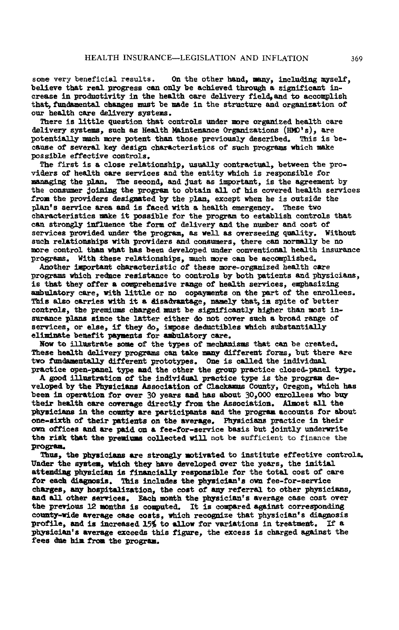some very beneficial results. O**n** th**e o**t**he**r **hand**, **m**\_**n**y, i**n**cl**ud**i**n**g my**s**e**l**f, **bel**i**eve** t**ha**t re**al p**r**o**g**r**ess c**an only** be **a**c**h**ieve**d** t**h**r**ou**g**h a** sig*n*ific**an**t i**n**cr**ease** i**n p**ro**du**ctiv**i**t**y** i**n** t**he h**ealt**h** c**a**re **d**e**l**ivery fie**ld**,**an**d t**o** accomp**l**is**h** t**h**a\_ f**u**\_daae**n**t**al chs**\_**6es** m**us**t be m**ade in** t**h**e **s**truct**u**r**e an**d org**aniza**tio**n** of **our** h**eal**t**h** c**are** de**l**ive**r**y **sy**st**e**m**s**.

**There** i**s** littl**e que**sti**on** t**ha**t c**ont**r**ols** u**nde**r me**re o**rg**an**iz**ed h**e**al**t**h** c**are** de**l**iv**e**ry syst**em**s, **su**c**h as Hea**lt**h** \_i**n**te**nan**c**e O**rganizatio**ns** (H**M**D'**s**), are pote**n**ti**a**l**l**y m**at**chmere **p**ote**n**t t**h**a**n** t**h**ose previo**us**ly describe**d**. This is **he**c**aus**e of sever**a**l **k**e**y de**sig**n** c**ha**r**a**ct**e**ristics of s**u**ch **p**rogr**a**ms w**h**ic**h mak**e pos**s**i**b**l**e** effective c**on**tr**o**l**s**.

T**h**e first is a cl**o**se rel**a**ti**o**ns**h**i**p**, **u**s\_lly co**n**tr**a**ctu**a**l, betwee**n** t**he** provi**d**ers of **h**e**a**lt**h** c**a**re ser**v**ices a**nd** t**h**e e**n**tity **wh**ic**h** is respo**ns**ible for **man**s\_i**n**g t**he plan**. The seco**nd**j a**nd** J**us**t **a**s i**mp**ortant, is t**h**e **a**greem**en**t b**y** t**h**e consu**m**er \_o\_-\_**-**\_ t**h**e **p**rogram t**o o**bt**a**i**n a**ll of **h**is co**v**ere**d** h**e**alt**h** services fr**o-**.t**h**e **p**rovi**d**ers **des**ig**na**t**ed** by t**h**e p**lan**, **e**xce**p**t whe**n h**e is **ou**t**s**ide t**h**e p**lan**'s servic**e a**re**a** an**d** is fac**ed** wit**h** a health em**e**rg**en**cy. Th**es**e tw**o** c**ha**ract**e**ristics m**a**k**e** it **p**os**s**ib**l**e for t**h**e **pro**g**ra**m to **es**t**abl**is**h** c**on**tr**ols** t**ha**t c**an s**tro**n**gl**y** i**n**flue**n**ce t**h**e f**o**r**m** of **d**eliv**e**ry a**nd** th**e nu**mber and cost **o**f **s**ervic**e**s **p**r**o**vi**ded** un**de**r t**he p**rogr**am**, **as** well **a**s over**se**ei**n**g q**ua**lity. Wit**h**o**u**t suc**h** rel**a**tio**n**s**h**i**p**s wit**h p**r**o**vi**d**ers **and** c**onsu**mers, th**e**re ca**n n**or**mel**ly be **no** m**o**re c**on**tr**o**l t**han** w**ha**t **has** b**e**e**n d**evel**op**e**d** und**e**r co**n**ve**n**tio**na**l **hea**lth insur**an**ce pr**o**gra**ms**. **W**it**h** \_**h**es**e** rel**a**ti**onsh**i**p**s, **mu**ch mere c**an** be **ac**c**om**pli**sh**e**d**.

**A***n***o**t**he**r i\_**ortan**t c**hara**ct*e*ristic **of** t**he**se mer*e***-**or**gan**i*ze***d** he**a**lth c\_**r***e* **p**r**o**g**r**am**s** w**h**ic**h** re@**a**ce r**e**si**s**t**an**ce to c**on**tro**l**s by **b**oth **pa**tie**n**ts an**d** p**hys**ici**ans**, is that t**h**e**y o**ffer a c**om**pr**eh**ensive r**an**g**e** of **h**ealth services, e**mpha**sizi**n**g **a**m**b**u**la**t**o**ry c**a**re, wit**h l**ittle or **no** c**opa**ym**en**ts o**n** the **pa**rt of th**e en**r**o**llees. T**h**is **a**ls**o** c**a**r**r**i**es** wit**h** it a **d**is**adv**lu**a**t**a**g**e, n**\_**m**ely that,i**a** s**p**ite **o**f **b**ett**e**r c**on**tr**o**ls, t**h**e premiu**ms** c**ha**r**g**e**d** zust **h**e **s**ig**n**ifica**n**tl**y h**lgher t**h**a**n mo**st i**n**sur**a**nc**e** pl**an**s **s**i**n**ce t**h**e latt**e**r **e**it**h**er de not c**o**v**e**r s**u**c**h** a broa**d** r**an**g**e** of ser**v**ices, or **e**l**s**e, if t**h**ey d**o,** i**mpo**se de**d**uctible**s** w**h**ich **s**u**b**st**an**tially eli**m**i**na**te be**ne**fit **paymen**ts f**o**r **ambula**t**o**ry c**a**re.

**No**w t**o** il**l**nstr**a**t**e so**m**e** of t**h**e t**ypes** of mec**h**m\_**-**\_**s**m**s** t**ha**t c**an** be cr**ea**t**e**d. **The**se **he**a**l**t**h d**e**l**ivery **p**rogr**a**m**s** c**an** ta**k**e **m**\_**n**y differe**n**t f**o**r**ms**, but t**h**ere **a**r**e** tw**o f**u**n**dame**n**ta**ll**y **d**iff**e**r**en**t **pro**t**o**t**ype**s. **One** is c**alled** t**h**e i**nd**ivi**dnal prac**tice **open**-**I**\_**ne**l t**ype and** t**he o**t**her** t**he** g**roup p**r**a**ctic**e** cl**osed-pan**e**l** t**ype**.

A good illustration of the individual practice type is the program de**veloped by** t**he Ph**y**s**i**c**i**an**s A**sso**ciati**on o**f **Cl**a\_ **Coun**ty**, Ore**g**on,** w**h**ic**h has been** i**n opera**ti**on** f**or o**v**er 30 yea**rs **and has abou**t **30**,**0**00 **enro**l**lees** w**ho b***u*y their health care coverage directly from the Association. Almost all the **ph**ysici**ans** i**n** t**he** c**o**u**n**t**y a**r**e par**tici**pan**t**s and** t**he pro**g**ra**m acc**oun**ts f**or abou**t **one-**six**th o**f t**he**i**r** pa**t**i**en**t**s on** t**he** av**e**r**a**g**e**. **Ph**ysi**c**i**an**s **p**r**a**cti**ce** in **the**i**r own o**ffic**es and** ar**e pa**i**d on a** f**ee-for-**s**er**vic**e** b**a**sis **but** J**o**i**n**t**l**y *u***n**derw**r**it**e** t**he r**i**s**k that t**he p**r**e**mi\_Is c**o**ll**e**ct**ed** wi**ll** not b**e** sufficient to finance the **p**r**o**gr**a**\_

T**hu**s, t**h**e **p**hysici**an**s are str**on**g**l**y m**o**tivat**ed** t**o** i**ns**titut**e e**ff**e**ctive co**n**trol**s**. **Unde**r t**h**e \_t**e**m, **wh**ic**h** t**h**ey hav**e de**ve**l**ope**d** ov**e**r t**he** y**e**ars, t**h**e i**n**iti**al a**tt**e**\_**-**\_- **ph**ysicia**n** is fi**n**sa**l**ci**a**l**l**y r**e**spo**n**si**ble** for t**h**e t**o**t**a**l c**ost o**f car**e fo**r e**a**c**h d**i**a**\_mosis. T**h**i**s** i**n**cl**u**des t**h**e p**hy**sician's **own** fe**e**-for-ser**v**ice c**ha**rges, **a**my **ho**spit**a**liz**a**ti**on**, the c**o**st **o**f **an**y referr**a**l t**o o**t**h**er **p**hy**s**icians, an**d a**ll **o**t**h**er s**e**r**v**ices. E**a**c**h mon**t**h** t**h**e **ph**ysici**an**'s **a**v**e**r**a**g**e** c**a**se c**os**t over t**h**e **p**r**ev**i**ous** 1**2** m**on**t**hs** i**s** c**o**mp**u**t**ed**. **I**t i**s** co**mpa**re**d a**g**a**in**s**t c**o**rres**pond**i**n**g county-wide average case costs, which recognize that physician's diagnosis **pro**fi**le**, an**d** is inc**reased 15**% t**o allo**w f**or** v**a**ri**a**ti**o**ns i**n** tr**ea**tm**en**t. **I**f **a phys**ician's av**e**r**a**g**e e***x*c**eed**s t**h**i**s f**ig*u***re,** t**he ex**c**es**s **i**s c**har**g**ed a**gainst t**he** f**ee**s **date h**im fr**o**m t**h**e **pro**g**ra**m.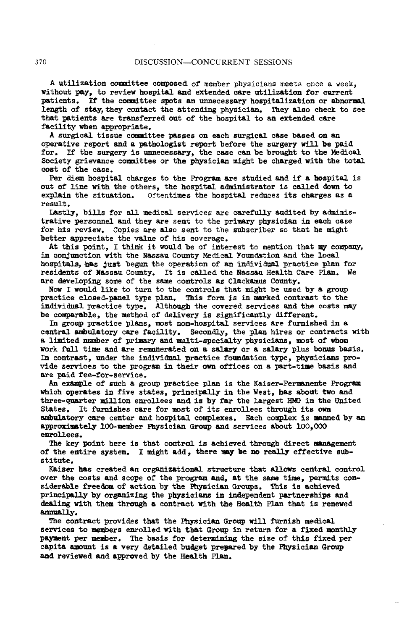A utiliz**a**tio**n** committee com**p**os**e**d **o**f member physicians meets once a week, wit**h**o**u**t **Pay**, to r**e**view **h**ospit**a**l **an**d **e**xt**e**nded c**a**r**e u**ti**l**i**za**tio**n** for c**u**rrent **pa**tie**n**ts. If th**e** c**o**mmittee spots a**n u**n**ne**ces**sa**ry hospitalizati**on** or **a**b**n**orm**a**l length of **s**t**a**y,th**e**y cont**a**ct the **a**tte**nd**lng physici**a**n. Th**e**y al**s**o check to se**e** th**a**t **pa**tie**n**t**s are** tr**a**nsferred o**u**t **o**f th**e** hospit**a**l to a**n e**xt**en**ded c**a**re facility w**h**e**n** a**p**propriate.

A surgic**a**l ti**ssu**e com**m**ittee **pa**sse**s** o**n ea**ch **s**urgical c**as**e ba**s**ed **on an o**p**e**rative report **an**d **a pa**t**h**o**l**ogist r**e**p**o**rt befor**e** the surgery will **b**e p**a**id for. If the surgery i**s unn**ec**e**ss**a**r**y**, th**e** c**a**s**e** c**an** b**e** br**ou**g**h**t t**o** t**h**e M**ed**ic**a**l Society griev**an**ce c**o**mmittee **o**r th**e p**h**y**sici**a**n might **b**e ch**a**rge**d** with the tot**a**l cost of the c**as**e.

P**e**r diem **h**ospit**a**l charges t**o** the **P**rogr**a**m are st**ud**ied and if **a ho**s**p**it**a**l i**s** o**u**t of li**n**e with the **o**th**e**rs, the hospit**a**l **ad**mi**n**i**s**tr**a**tor is c**a**lle**d** dome to ex**p**l**a**in the sit**ua**tio**n**. Oftentimes the hospit**a**l r**e**d**u**ces it**s** ch**a**rges **a**s **a** res**u**lt.

L**a**stly, **b**ills for **a**ll medic**a**l services are caref**u**lly a**u**dite**d** by **ad**mi**n**istr**a**tive perso**nn**el and they are se**n**t to the prim**a**ry physici**a**n in e**a**ch ease for his r**e**view. Copies **a**r**e a**lso se**n**t to the su**b**scriber so th**a**t he might B**e**tter **a**ppreci**a**te th**e** v**a**l**u**e of his cover**a**ge.

At this **p**oi**n**t, I thi**n**k it **wou**ld be of i**n**terest to mention th**a**t my com**p**a**n**y, in c**on**j**un**ction with th**e** N**a**ssau C**oun**ty Medical Fo**u**nd**a**tio**n** a**n**d the local hospit**a**ls, **h**as Just beg**u**n the operatio**n** of an i**nd**ivi**d**mal pr**a**ctice pl**a**n for resi**d**ents of N**a**ss**au** County. It is c**a**lled the N**a**ss**a**u H**e**alth C**a**re Plan. W**e** ar**e** devel**o**pi**n**g some **o**f th**e** same co**n**tr**o**ls **a**s Cl**a**ck**a**m**u**s Cou**n**ty.

Now I wo**u**ld like t**o** turn to the c**on**trols th**a**t might **b**e **u**sed **b**y **a** gro**up** pr**a**ctice closed-**pan**el ty**p**e **Ix**l**an**. T**h**is form is in m**a**rked co**n**tr**a**st t**o** t**he** i**n**divi\_,,alpr**a**ctic**e** type. Alth**o**ug**h** th**e** covered servic**es** an**d** th**e** cost**s** m**a**y be com**p**ar**a**ble, th**e** method of delivery is significantly differe**n**t.

In gr**oup** pr**a**ctice pl**an**s, mo**s**t **n**o**n**-hospital services ar**e** fur**n**ishe**d** i**n** a ce**n**tral a**mbu**l**a**tory c**a**re f**a**cility. Secondly, the **p**lan hires or c**o**ntr**a**cts with **a** limite**d** n**u**m**b**er of **p**rim**a**ry and m**a**lti-s**p**ecialty physici**a**ns, most of whom Work f**u**l**l** time and ar**e** r**e**m**une**r**a**ted **o**n **a** sal**a**r**y o**r **a** s**a**l**a**ry plus **bonu**s b**as**is. In c**on**trast, under the i**n**divi**dv**\_! l\_r**a**ctice fo**und**ati**on** ty**p**e, p**h**ysici**a**ns provi**d**e serv**i**ces to the program in t**h**e**i**r ow**n** offices on **a** p**a**rt-ti**m**e **ba**sis a**n**d are paid fee-for-service.

An exam**pl**e of s**u**ch a gro**u**p **p**ractice plan is t**h**e K**a**iser-Perm**an**e**n**te Program which **op**er**a**tes i**n** five states, **p**ri**n**ci**pal**ly i**n** th**e W**est, h**a**s a**b**o**u**t two and three**-q**u**a**rter millio**n** e**n**rollees **a**n**d** is by f**a**r the largest \_0 i**n** the U**n**ited St**a**te**s**. It f**u**r**n**ishes care for most of its e**n**rollees t**h**ro**u**gh its ow**n amb**ul**a**t**o**ry c**a**re ce**n**ter and hos**p**it**a**l complexes. E**a**ch complex is m**an**ned by an appro**x**imately **l**O**0**-member P**h**ysici**a**n Gr**ou**p **an**d services **ab**out l**O**0,00**0** e**n**rollees.

T**h**e key poi**n**t here is th**a**t control is achieved thro**u**g**h** direct man**a**geme**n**t of the entire system. I might add, t**h**ere m**a**y be **no** re**a**lly effective s**ub**stit**u**te.

K**a**i**s**er **ha**s cre**a**te**d** a**n** org**an**izatio**na**l str**u**cture that **a**llows ce**n**tr**a**l c**on**trol over the c**o**sts an**d** scope of the pr**o**gr**a**m and, **a**t the s**a**me time, permits consi**de**r**a**ble fr**eedo**m **o**f **a**ctio**n** b**y** t**h**e P**hys**icia**n** Gr**oups**. T**h**is is a**c**hi**e**v**e**d princi**pa**ll**y b**y **o**r**gan**izi**n**g t**h**e physici**a**ns in in**d**epe**n**de**n**t **p**art**n**er**s**hi**ps** and **de**ali**n**g with them thr**ou**g**h a** c**on**tr**a**ct wit**h** t**h**e H**e**alth Pl**an** t**ha**t is re**n**ewed annually.

The co**n**tr**a**ct **p**rovides that t**h**e Physici**a**n Gr**oup** will f**u**rnish medic**a**l services to mem**b**ers enrolled with that Group in ret**u**r**n** for **a** fixed mo**n**t**h**ly payme**n**t **p**er mem**b**er. The b**a**sis for **d**eterm\_**-**\_-\_ the si**z**e of this fixe**d** per capita **a**m**oun**t is a very detailed b**ud**get pre**pa**re**d** by the P**h**ysician Gr**oup** an**d r**eviewed and **a**pproved **by** t**h**e **H**ealt**h** Pl**an**.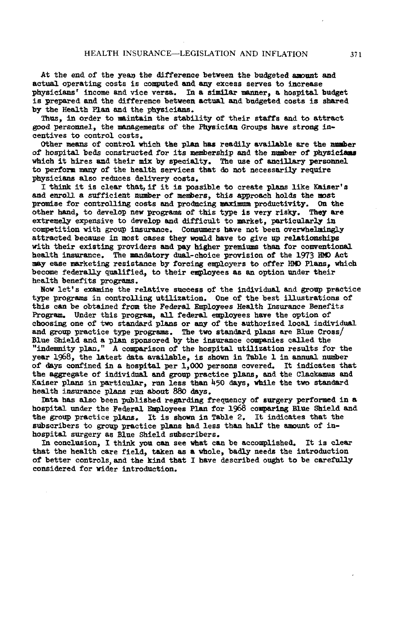At the end of the year the difference between the budgeted amount and actual operating costs is computed and any excess serves to increase physicians' income and vice versa. In a similar manner, a hospital budget is prepared and the difference between actual and budgeted costs is shared by the Health Plan and the physicians.

Thus, in order to maintain the stability of their staffs and to attract good personnel, the managements of the Physician Groups have strong incentives to control costs.

Other means of control which the plan has readily available are the number of hospital beds constructed for its membership and the number of physicians which it hires and their mix by specialty. The use of ancillary personnel to perform many of the health services that do not necessarily require physicians also reduces delivery costs.

I think it is clear that, if it is possible to create plans like Kaiser's and enroll a sufficient number of members, this approach holds the most promise for controlling costs and producing maximum productivity. On the other hand, to develop new programs of this type is very risky. They are extremely expensive to develop and difficult to market, particularly in competition with group insurance. Consumers have not been overwhelmingly attracted because in most cases they would have to give up relationships with their existing providers and pay higher premiums than for conventional health insurance. The mandatory dual-choice provision of the 1973 HMO Act may ease marketing resistance by forcing employers to offer HMO Plans, which become federally qualified, to their employees as an option under their health benefits programs.

Now let's examine the relative success of the individual and group practice type programs in controlling utilization. One of the best illustrations of this can be obtained from the Federal Employees Health Insurance Benefits Program. Under this program, all federal employees have the option of choosing one of two standard plans or any of the authorized local individual and group practice type programs. The two standard plans are Blue Cross/ Blue Shield and a plan sponsored by the insurance companies called the "indemnity plan." A comparison of the hospital utilization results for the year 1968, the latest data available, is shown in Table 1 in annual number of days confined in a hospital per 1,000 persons covered. It indicates that the aggregate of individual and group practice plans, and the Clackamus and Kaiser plans in particular, run less than 450 days, while the two standard health insurance plans run about 880 days.

Data has also been published regarding frequency of surgery performed in a hospital under the Federal Employees Plan for 1968 comparing Blue Shield and the group practice plans. It is shown in Table 2. It indicates that the subscribers to group practice plans had less than half the amount of inhospital surgery as Blue Shield subscribers.

In conclusion, I think you can see what can be accomplished. It is clear that the health care field, taken as a whole, badly needs the introduction of better controls, and the kind that I have described ought to be carefully considered for wider introduction.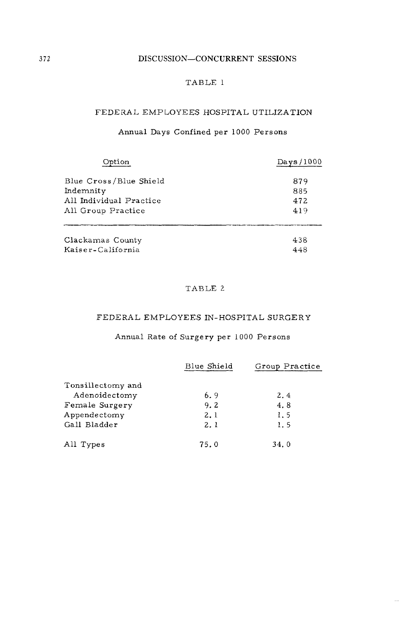#### DISCUSSION-CONCURRENT SESSIONS

### TABLE 1

### FEDERAL EMPLOYEES HOSPITAL UTILIZATION

## Annual Days Confined per 1000 Persons

| mtion                   | Days/1000 |
|-------------------------|-----------|
| Blue Cross/Blue Shield  | 879       |
| Indemnity               | 885       |
| All Individual Practice | 472       |
| All Group Practice      | 419       |
| Clackamas County        | 438       |
| Kaiser-California       | 448       |

### TABLE 2

#### FEDERAL EMPLOYEES IN-HOSPITAL SURGERY

# Annual Rate of Surgery per 1000 Persons

|                   | Blue Shield | Group Practice |
|-------------------|-------------|----------------|
| Tonsillectomy and |             |                |
| Adenoidectomy     | 6.9         | 2.4            |
| Female Surgery    | 9.2         | 4.8            |
| Appendectomy      | 2.1         | 1.5            |
| Gall Bladder      | 2.1         | 1.5            |
| All Types         | 75.0        | 34.0           |

372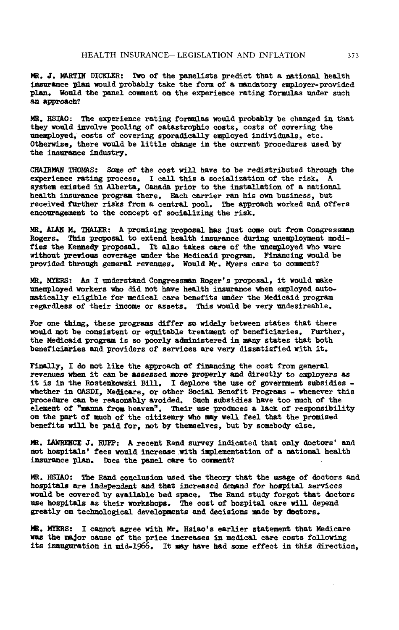MR. ft.\_**4%**RT**IN** DICK**L**ER: Two of th**e p**a**nel**ists predict th**a**t a natio**n**a**l** he**a**lth i**n**s**u**ra**n**ce **pl**a**n** w**o**ul**d** prob**a**bly tak**e** the form of **a** ms\_datory employer-provided **p**la**n**. **W**ould t**h**e **p**a**ne**l coment o**n** t**h**e experie**n**ce rati**ng** form**u**la**s** \_u**de**r such a**n** appr**o**ac**h**?

MR. HSYA**O**: The **e**xp**e**ri**en**ce r**a**ti**n**g formsl**a**s wo**uld p**rob**ab**l**y be** c**h**a**n**ge**d** i**n** t**ha**t t**h**ey w**o**ul**d** i**nv**olve P**o**oling **o**f catastrop**h**ic c**o**sts**,** c**o**sts **o**f c**o**vering t**he** \_**e1**\_l**oy**e**d**, c**o**sts of c**o**v**e**ring sp**o**radically em**pl**oye**d** i**n**divid\_s\_Is, **e**tc. Ot**h**erwise**,** t**h**ere would he little c**hange** i**n** t**h**e cu**r**re**n**t pro**c**edures **u**sed by th**e** i**n**s**u**r**an**ce i**ndu**stry.

CHAIRMAN \_HOMAS: S**o**\_e of t**h**e cost will have to be redistri**bu**ted through the experie**n**ce rating process. I c**a**l**l** this a socializati**on o**f t**h**e risk. A **sys**tem e**x**ist**ed** i**n** A**l**b**e**rta, C**an**a**d**a **p**ri**o**r to t**he** insta**ll**atio**n** of **a na**tio**n**a**l h**ea**l**th i**n**s**u**ra**n**c**e p**r**o**gram t**h**ere. Each c**a**rri**e**r ran his ow**n** b**us**iness, b**u**t receiv**ed** f**u**rther ris**ks** fro**m** a ce**n**tr**al** po**ol**. The appr**oa**c**h** w**o**r**k**e**d and** offers **en**cou**ra**ge**men**t t**o** t**he** co**n**ce**p**t of s**o**cializi**n**g the ris**k**.

MR. AlA**N** M. THA**L**ER: A pro**m**ising pro**p**osal **h**as Just c**o**m**e ou**t from Co**n**gr**e**ssm**an** Rogers. **Th**i**s** pr**olx**>sal to exte**nd h**ea**lt**h insura**n**ce d**u**ri**n**g **un**empl**oym**e**n**t **mod**ifies the Ke**nnedy p**roposal. It also takes care of the u**n**e**m**ployed who were wit**h**o**u**t **p**r**e**yi**o**us cov**e**rage \_**d**er t**h**e **M**e**d**icai**d p**rogram. Fi**-**SL**n**cing w**o**ul**d** be pro**v**id**e**d **th**roug**h** ge**ne**ral rev**enu**es. W**o**uld Mr. My**er**s care t**o** c**o**\_ne**n**t?

MR. M\_RS: As I u**nde**rst**and** Co**n**gres\_ Roger's proposal, it would m**a**ke u**ne**mploye**d** w**o**rkers w**ho** di**d n**ot have health insurance **wh**e**n** e\_pl**o**ye**d** autom\_tically eligible for **med**ic**al** c**a**re **ben**efits u**nd**er the Medicai**d** progra**r**a regardless of their i**n**come or assets. T**h**i**s** would **h**e very \_**n**desireable.

For one thing, these programs differ so widely between states that there woul**d** \_ot be co**ns**ist**en**t or equitable treat**m**e**n**t of be**n**eficiaries. Further**,** t**he Me**dicai**d** pr**o**gra\_ is s**o** po**o**rly **a**d**m**i**n**is**t**er**e**d i**n** m**any** st**a**tes that b**o**th be**n**eficiaries an**d** providers of services are very diss**a**tisfied wit**h** it.

**F**i**nall**y**,** I d**o n**ot li**k**e t**h**e **a**ppro**a**c**h o**f fi**n**a**n**ci**n**g t**h**e c**o**st fro**m** ge**n**eral re**v**e**n**u**es wh**e**n** it c**an he** a**s**sessed m**o**r**e p**ro**p**er**l**y an**d d**ir**e**ctly **t**o emp**lo**y**e**rs a**s i**t is i**n** t**he** Ros**t**e**n**kow**skl Bill**. **I d**e**pl**or**e** t**h**e **us**e of go**ve**r**D**m**en**t **s**u**bs**i**d**ie**s**  wh**e**t**he**r in **OASD**I, **M**edicar**e**, or ot**he**r **S**o**ci**al **Bene**f**i**t **P**rogr**a**m**s -** whe**neve**r **t**h**i**s **p**roc**edu**re can **b**e reaso**n**a**bl**y avoide**d**. **Su**c**h** s**ubs**idie**s ha**v**e** too **mu**c**h o**f t**h**e **el**em**en**t of "\_ **f**r**o**m **h**eaven**"**. T**he**ir u**s**e **p**roduc**e**s a lack of r**e**s**p**o**n**si**b**i**l**it**y** o**n** th**e p**art of muc**h o**f t**h**e citiz**en**r**y** wh**o** \_y w**e**ll f**ee**l that th**e** promis**e**d ben**e**fits will be **pa**i**d** for, **n**ot **b**y theme**l**ves, **bu**t by **s**om**eb**od**y** else.

MR. \_CE J. RUPP: **A** recent R**and** s**u**rv**e**y i**n**dicate**d** t**h**at o**n**ly **d**oct**o**r**s**' **an**d **n**ot **h**o**sp**ita**ls**' fees woul**d** i**n**cr**e**as**e** wit**h** im**p**le**men**tatio**n** of **a na**tio**n**a**l he**alth i**n**s**u**ra**n**ce **pl**a**n**. **D**oes t**he p**a**n**e**l** care to comme**n**t?

**M**R. **HSI**A**O**: The Ran**d** c**onc**l**us**i**on** use**d** t**h**e th**e**or**y** that th**e u**sage **o**f **d**octor**s** an**d** hospital**s** ar**e** indep**en**d**en**t an**d** that i**n**crea**s**e**d** de**m**a**n**d for h**o**spital services wo**u**l**d** be c**o**v**e**re**d** by avai**l**a**bl**e **bed** S**l**\_ce. Th**e** R**and** st**u**dy forgot that doct**o**rs **U**s**e h**os**p**it**a**ls as their wor**k**sho**p**s. The co**s**t of h**o**s**p**ita**l** car**e** wil**l** depe**nd** gr**e**atly **on** tech**no**logical dev**e**l**opmen**ts **and d**ecisio**n**s **n**\_de b**y** d\_ctors.

MR. MY**E**R**S**: I c**anno**t agr**ee** with **M**r. **H**sia**o**'s ear**l**i**e**r state**men**t t**h**at Me**d**icar**e** was the major cause of the price increases in medical care costs following its i**n**augurati**on** i**n** mid-l\_66. It \_y **h**av**e** ha**d s**ome eff**e**ct i**n** t**h**i**s** dir**e**cti**on,**